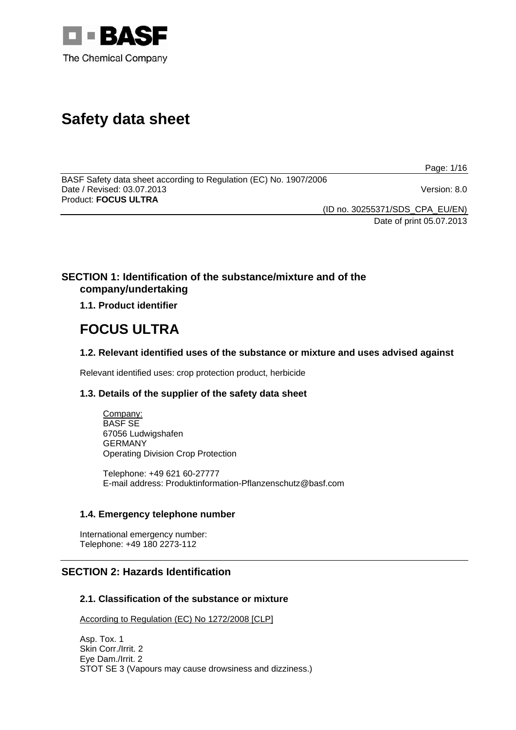

# **Safety data sheet**

Page: 1/16

BASF Safety data sheet according to Regulation (EC) No. 1907/2006 Date / Revised: 03.07.2013 Version: 8.0 Product: **FOCUS ULTRA** 

(ID no. 30255371/SDS\_CPA\_EU/EN)

Date of print 05.07.2013

# **SECTION 1: Identification of the substance/mixture and of the company/undertaking**

**1.1. Product identifier**

# **FOCUS ULTRA**

**1.2. Relevant identified uses of the substance or mixture and uses advised against**

Relevant identified uses: crop protection product, herbicide

# **1.3. Details of the supplier of the safety data sheet**

Company: BASF SE 67056 Ludwigshafen GERMANY Operating Division Crop Protection

Telephone: +49 621 60-27777 E-mail address: Produktinformation-Pflanzenschutz@basf.com

# **1.4. Emergency telephone number**

International emergency number: Telephone: +49 180 2273-112

# **SECTION 2: Hazards Identification**

# **2.1. Classification of the substance or mixture**

According to Regulation (EC) No 1272/2008 [CLP]

Asp. Tox. 1 Skin Corr./Irrit. 2 Eye Dam./Irrit. 2 STOT SE 3 (Vapours may cause drowsiness and dizziness.)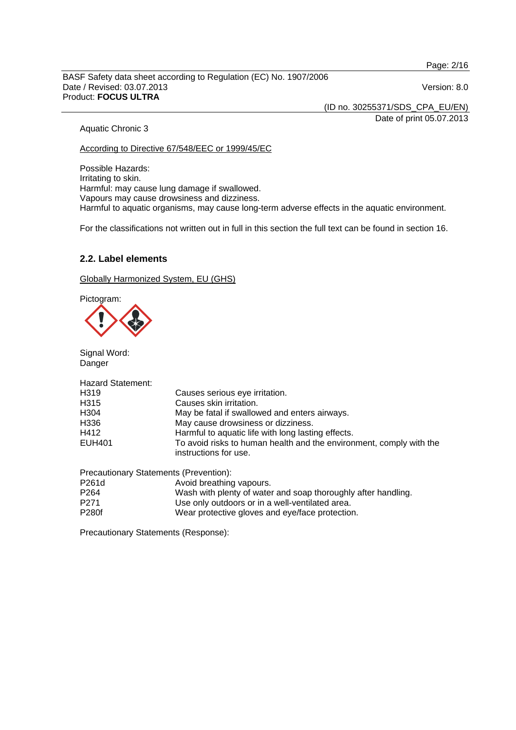Page: 2/16

#### BASF Safety data sheet according to Regulation (EC) No. 1907/2006 Date / Revised: 03.07.2013 Version: 8.0 Product: **FOCUS ULTRA**

(ID no. 30255371/SDS\_CPA\_EU/EN)

Date of print 05.07.2013

## Aquatic Chronic 3

According to Directive 67/548/EEC or 1999/45/EC

Possible Hazards: Irritating to skin. Harmful: may cause lung damage if swallowed. Vapours may cause drowsiness and dizziness. Harmful to aquatic organisms, may cause long-term adverse effects in the aquatic environment.

For the classifications not written out in full in this section the full text can be found in section 16.

## **2.2. Label elements**

Globally Harmonized System, EU (GHS)

Pictogram:

Signal Word: Danger

| <b>Hazard Statement:</b> |                                                                                              |
|--------------------------|----------------------------------------------------------------------------------------------|
| H319                     | Causes serious eye irritation.                                                               |
| H315                     | Causes skin irritation.                                                                      |
| H304                     | May be fatal if swallowed and enters airways.                                                |
| H336                     | May cause drowsiness or dizziness.                                                           |
| H412                     | Harmful to aquatic life with long lasting effects.                                           |
| <b>EUH401</b>            | To avoid risks to human health and the environment, comply with the<br>instructions for use. |
|                          | Precautionary Statements (Prevention):                                                       |
| P261d                    | Avoid breathing vapours.                                                                     |
| P <sub>264</sub>         | Wash with plenty of water and soap thoroughly after handling.                                |
| $- - -$                  |                                                                                              |

P271 Use only outdoors or in a well-ventilated area. Wear protective gloves and eye/face protection.

Precautionary Statements (Response):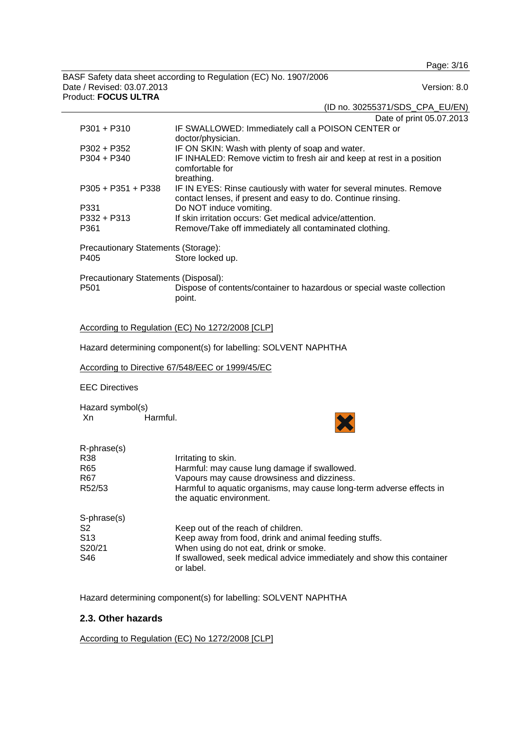Page: 3/16

BASF Safety data sheet according to Regulation (EC) No. 1907/2006 Date / Revised: 03.07.2013 Version: 8.0 Product: **FOCUS ULTRA** 

(ID no. 30255371/SDS\_CPA\_EU/EN)

|                                      | Date of print 05.07.2013                                                                                                            |
|--------------------------------------|-------------------------------------------------------------------------------------------------------------------------------------|
| $P301 + P310$                        | IF SWALLOWED: Immediately call a POISON CENTER or<br>doctor/physician.                                                              |
| P302 + P352                          | IF ON SKIN: Wash with plenty of soap and water.                                                                                     |
| $P304 + P340$                        | IF INHALED: Remove victim to fresh air and keep at rest in a position<br>comfortable for<br>breathing.                              |
| $P305 + P351 + P338$                 | IF IN EYES: Rinse cautiously with water for several minutes. Remove<br>contact lenses, if present and easy to do. Continue rinsing. |
| P331                                 | Do NOT induce vomiting.                                                                                                             |
| $P332 + P313$                        | If skin irritation occurs: Get medical advice/attention.                                                                            |
| P361                                 | Remove/Take off immediately all contaminated clothing.                                                                              |
| Precautionary Statements (Storage):  |                                                                                                                                     |
| P405                                 | Store locked up.                                                                                                                    |
| Precautionary Statements (Disposal): |                                                                                                                                     |
| P <sub>501</sub>                     | Dispose of contents/container to hazardous or special waste collection<br>point.                                                    |
|                                      |                                                                                                                                     |

#### According to Regulation (EC) No 1272/2008 [CLP]

Hazard determining component(s) for labelling: SOLVENT NAPHTHA

According to Directive 67/548/EEC or 1999/45/EC

EEC Directives

Hazard symbol(s) Xn Harmful.



| R-phrase(s)     |                                                                                                  |
|-----------------|--------------------------------------------------------------------------------------------------|
| R38             | Irritating to skin.                                                                              |
| R65             | Harmful: may cause lung damage if swallowed.                                                     |
| R67             | Vapours may cause drowsiness and dizziness.                                                      |
| R52/53          | Harmful to aquatic organisms, may cause long-term adverse effects in<br>the aquatic environment. |
| S-phrase(s)     |                                                                                                  |
| S <sub>2</sub>  | Keep out of the reach of children.                                                               |
| S <sub>13</sub> | Keep away from food, drink and animal feeding stuffs.                                            |
| S20/21          | When using do not eat, drink or smoke.                                                           |
| S46             | If swallowed, seek medical advice immediately and show this container<br>or label.               |

Hazard determining component(s) for labelling: SOLVENT NAPHTHA

## **2.3. Other hazards**

According to Regulation (EC) No 1272/2008 [CLP]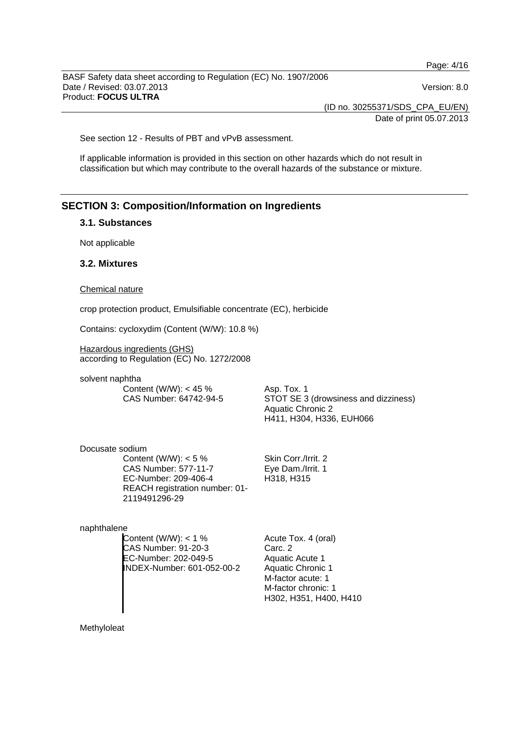Page: 4/16

BASF Safety data sheet according to Regulation (EC) No. 1907/2006 Date / Revised: 03.07.2013 Version: 8.0 Product: **FOCUS ULTRA** 

(ID no. 30255371/SDS\_CPA\_EU/EN)

Date of print 05.07.2013

See section 12 - Results of PBT and vPvB assessment.

If applicable information is provided in this section on other hazards which do not result in classification but which may contribute to the overall hazards of the substance or mixture.

# **SECTION 3: Composition/Information on Ingredients**

### **3.1. Substances**

Not applicable

## **3.2. Mixtures**

#### Chemical nature

crop protection product, Emulsifiable concentrate (EC), herbicide

Contains: cycloxydim (Content (W/W): 10.8 %)

Hazardous ingredients (GHS) according to Regulation (EC) No. 1272/2008

solvent naphtha

Content (W/W): < 45 % CAS Number: 64742-94-5 Asp. Tox. 1 STOT SE 3 (drowsiness and dizziness) Aquatic Chronic 2 H411, H304, H336, EUH066

Docusate sodium Content (W/W):  $< 5 \%$ CAS Number: 577-11-7 EC-Number: 209-406-4 REACH registration number: 01- 2119491296-29

naphthalene

Content  $(W/W)$ : < 1 % CAS Number: 91-20-3 EC-Number: 202-049-5 INDEX-Number: 601-052-00-2

Skin Corr./Irrit. 2 Eye Dam./Irrit. 1 H318, H315

Acute Tox. 4 (oral) Carc. 2 Aquatic Acute 1 Aquatic Chronic 1 M-factor acute: 1 M-factor chronic: 1 H302, H351, H400, H410

Methyloleat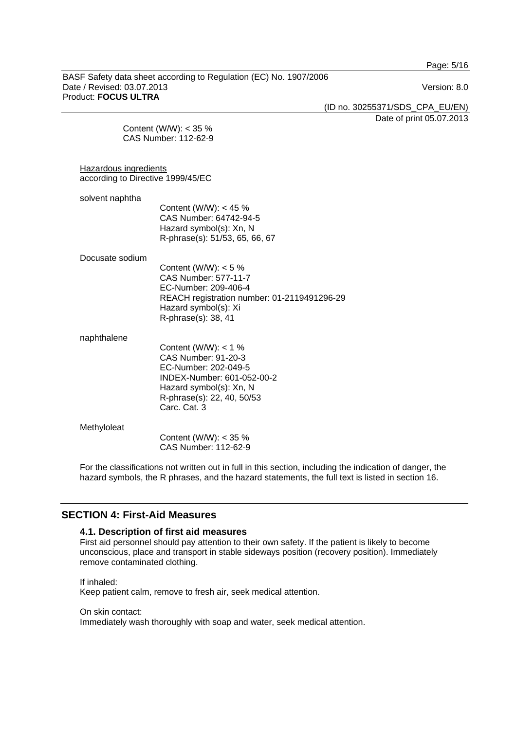Page: 5/16

BASF Safety data sheet according to Regulation (EC) No. 1907/2006 Date / Revised: 03.07.2013 Version: 8.0 Product: **FOCUS ULTRA** 

(ID no. 30255371/SDS\_CPA\_EU/EN)

Date of print 05.07.2013

Content (W/W): < 35 % CAS Number: 112-62-9

Hazardous ingredients according to Directive 1999/45/EC

solvent naphtha Content (W/W): < 45 % CAS Number: 64742-94-5 Hazard symbol(s): Xn, N R-phrase(s): 51/53, 65, 66, 67

#### Docusate sodium

Content (W/W):  $< 5 \%$ CAS Number: 577-11-7 EC-Number: 209-406-4 REACH registration number: 01-2119491296-29 Hazard symbol(s): Xi R-phrase(s): 38, 41

naphthalene

Content (W/W):  $< 1 \%$ CAS Number: 91-20-3 EC-Number: 202-049-5 INDEX-Number: 601-052-00-2 Hazard symbol(s): Xn, N R-phrase(s): 22, 40, 50/53 Carc. Cat. 3

Methyloleat Content (W/W): < 35 % CAS Number: 112-62-9

For the classifications not written out in full in this section, including the indication of danger, the hazard symbols, the R phrases, and the hazard statements, the full text is listed in section 16.

## **SECTION 4: First-Aid Measures**

## **4.1. Description of first aid measures**

First aid personnel should pay attention to their own safety. If the patient is likely to become unconscious, place and transport in stable sideways position (recovery position). Immediately remove contaminated clothing.

If inhaled: Keep patient calm, remove to fresh air, seek medical attention.

On skin contact:

Immediately wash thoroughly with soap and water, seek medical attention.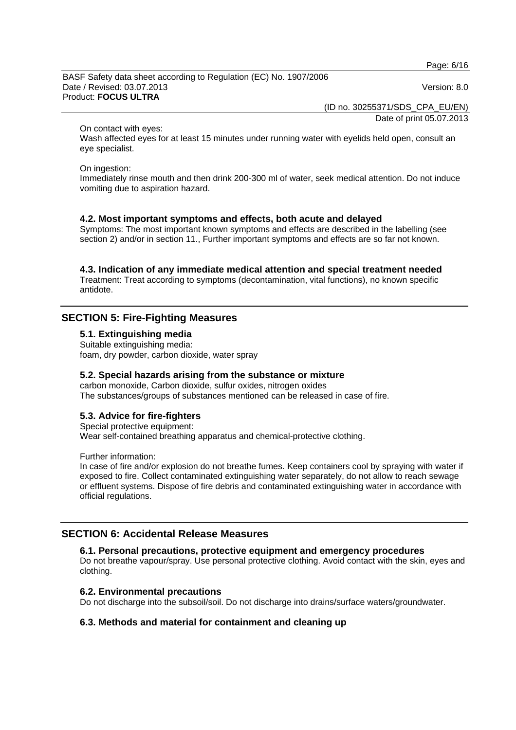Page: 6/16

BASF Safety data sheet according to Regulation (EC) No. 1907/2006 Date / Revised: 03.07.2013 Version: 8.0 Product: **FOCUS ULTRA** 

(ID no. 30255371/SDS\_CPA\_EU/EN)

Date of print 05.07.2013

On contact with eyes:

Wash affected eyes for at least 15 minutes under running water with eyelids held open, consult an eye specialist.

On ingestion:

Immediately rinse mouth and then drink 200-300 ml of water, seek medical attention. Do not induce vomiting due to aspiration hazard.

## **4.2. Most important symptoms and effects, both acute and delayed**

Symptoms: The most important known symptoms and effects are described in the labelling (see section 2) and/or in section 11., Further important symptoms and effects are so far not known.

## **4.3. Indication of any immediate medical attention and special treatment needed**

Treatment: Treat according to symptoms (decontamination, vital functions), no known specific antidote.

## **SECTION 5: Fire-Fighting Measures**

**5.1. Extinguishing media** 

Suitable extinguishing media: foam, dry powder, carbon dioxide, water spray

## **5.2. Special hazards arising from the substance or mixture**

carbon monoxide, Carbon dioxide, sulfur oxides, nitrogen oxides The substances/groups of substances mentioned can be released in case of fire.

## **5.3. Advice for fire-fighters**

Special protective equipment: Wear self-contained breathing apparatus and chemical-protective clothing.

Further information:

In case of fire and/or explosion do not breathe fumes. Keep containers cool by spraying with water if exposed to fire. Collect contaminated extinguishing water separately, do not allow to reach sewage or effluent systems. Dispose of fire debris and contaminated extinguishing water in accordance with official regulations.

## **SECTION 6: Accidental Release Measures**

#### **6.1. Personal precautions, protective equipment and emergency procedures**

Do not breathe vapour/spray. Use personal protective clothing. Avoid contact with the skin, eyes and clothing.

## **6.2. Environmental precautions**

Do not discharge into the subsoil/soil. Do not discharge into drains/surface waters/groundwater.

#### **6.3. Methods and material for containment and cleaning up**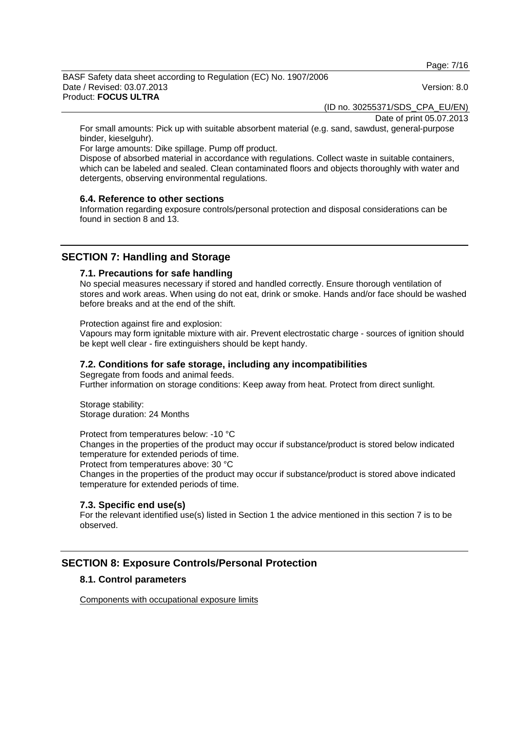Page: 7/16

#### BASF Safety data sheet according to Regulation (EC) No. 1907/2006 Date / Revised: 03.07.2013 Version: 8.0 Product: **FOCUS ULTRA**

(ID no. 30255371/SDS\_CPA\_EU/EN)

Date of print 05.07.2013

For small amounts: Pick up with suitable absorbent material (e.g. sand, sawdust, general-purpose binder, kieselguhr).

For large amounts: Dike spillage. Pump off product.

Dispose of absorbed material in accordance with regulations. Collect waste in suitable containers, which can be labeled and sealed. Clean contaminated floors and objects thoroughly with water and detergents, observing environmental regulations.

## **6.4. Reference to other sections**

Information regarding exposure controls/personal protection and disposal considerations can be found in section 8 and 13.

# **SECTION 7: Handling and Storage**

## **7.1. Precautions for safe handling**

No special measures necessary if stored and handled correctly. Ensure thorough ventilation of stores and work areas. When using do not eat, drink or smoke. Hands and/or face should be washed before breaks and at the end of the shift.

Protection against fire and explosion:

Vapours may form ignitable mixture with air. Prevent electrostatic charge - sources of ignition should be kept well clear - fire extinguishers should be kept handy.

## **7.2. Conditions for safe storage, including any incompatibilities**

Segregate from foods and animal feeds.

Further information on storage conditions: Keep away from heat. Protect from direct sunlight.

Storage stability: Storage duration: 24 Months

Protect from temperatures below: -10 °C

Changes in the properties of the product may occur if substance/product is stored below indicated temperature for extended periods of time.

Protect from temperatures above: 30 °C

Changes in the properties of the product may occur if substance/product is stored above indicated temperature for extended periods of time.

## **7.3. Specific end use(s)**

For the relevant identified use(s) listed in Section 1 the advice mentioned in this section 7 is to be observed.

# **SECTION 8: Exposure Controls/Personal Protection**

## **8.1. Control parameters**

Components with occupational exposure limits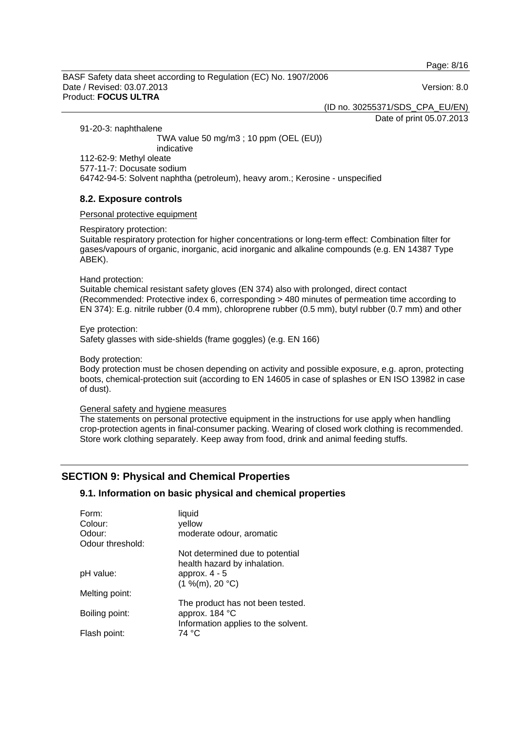Page: 8/16

BASF Safety data sheet according to Regulation (EC) No. 1907/2006 Date / Revised: 03.07.2013 Version: 8.0 Product: **FOCUS ULTRA** 

(ID no. 30255371/SDS\_CPA\_EU/EN)

Date of print 05.07.2013

91-20-3: naphthalene

 TWA value 50 mg/m3 ; 10 ppm (OEL (EU)) indicative 112-62-9: Methyl oleate 577-11-7: Docusate sodium 64742-94-5: Solvent naphtha (petroleum), heavy arom.; Kerosine - unspecified

## **8.2. Exposure controls**

Personal protective equipment

Respiratory protection:

Suitable respiratory protection for higher concentrations or long-term effect: Combination filter for gases/vapours of organic, inorganic, acid inorganic and alkaline compounds (e.g. EN 14387 Type ABEK).

Hand protection:

Suitable chemical resistant safety gloves (EN 374) also with prolonged, direct contact (Recommended: Protective index 6, corresponding > 480 minutes of permeation time according to EN 374): E.g. nitrile rubber (0.4 mm), chloroprene rubber (0.5 mm), butyl rubber (0.7 mm) and other

Eye protection:

Safety glasses with side-shields (frame goggles) (e.g. EN 166)

Body protection:

Body protection must be chosen depending on activity and possible exposure, e.g. apron, protecting boots, chemical-protection suit (according to EN 14605 in case of splashes or EN ISO 13982 in case of dust).

General safety and hygiene measures

The statements on personal protective equipment in the instructions for use apply when handling crop-protection agents in final-consumer packing. Wearing of closed work clothing is recommended. Store work clothing separately. Keep away from food, drink and animal feeding stuffs.

# **SECTION 9: Physical and Chemical Properties**

## **9.1. Information on basic physical and chemical properties**

| Form:<br>Colour: | liquid<br>yellow                    |
|------------------|-------------------------------------|
| Odour:           | moderate odour, aromatic            |
| Odour threshold: |                                     |
|                  | Not determined due to potential     |
|                  | health hazard by inhalation.        |
| pH value:        | approx. $4 - 5$                     |
|                  | (1 %(m), 20 °C)                     |
| Melting point:   |                                     |
|                  | The product has not been tested.    |
| Boiling point:   | approx. 184 °C                      |
|                  | Information applies to the solvent. |
| Flash point:     | 74 °C                               |
|                  |                                     |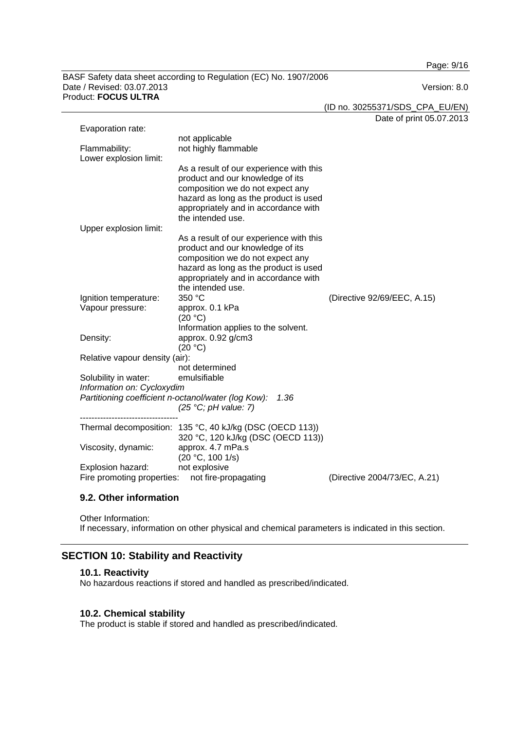Page: 9/16

#### BASF Safety data sheet according to Regulation (EC) No. 1907/2006 Date / Revised: 03.07.2013 Version: 8.0 Product: **FOCUS ULTRA**

(ID no. 30255371/SDS\_CPA\_EU/EN)

Date of print 05.07.2013

| Evaporation rate:                                                                  |                                                                                                                                                                                                                       |                             |  |
|------------------------------------------------------------------------------------|-----------------------------------------------------------------------------------------------------------------------------------------------------------------------------------------------------------------------|-----------------------------|--|
| Flammability:<br>Lower explosion limit:                                            | not applicable<br>not highly flammable                                                                                                                                                                                |                             |  |
|                                                                                    | As a result of our experience with this<br>product and our knowledge of its<br>composition we do not expect any<br>hazard as long as the product is used<br>appropriately and in accordance with<br>the intended use. |                             |  |
| Upper explosion limit:                                                             |                                                                                                                                                                                                                       |                             |  |
|                                                                                    | As a result of our experience with this<br>product and our knowledge of its<br>composition we do not expect any<br>hazard as long as the product is used<br>appropriately and in accordance with<br>the intended use. |                             |  |
| Ignition temperature:                                                              | 350 °C                                                                                                                                                                                                                | (Directive 92/69/EEC, A.15) |  |
| Vapour pressure:                                                                   | approx. 0.1 kPa<br>(20 °C)<br>Information applies to the solvent.                                                                                                                                                     |                             |  |
| Density:                                                                           | approx. 0.92 g/cm3<br>(20 °C)                                                                                                                                                                                         |                             |  |
| Relative vapour density (air):                                                     |                                                                                                                                                                                                                       |                             |  |
|                                                                                    | not determined                                                                                                                                                                                                        |                             |  |
| Solubility in water:                                                               | emulsifiable                                                                                                                                                                                                          |                             |  |
| Information on: Cycloxydim                                                         |                                                                                                                                                                                                                       |                             |  |
| Partitioning coefficient n-octanol/water (log Kow):                                | 1.36<br>(25 °C; pH value: 7)                                                                                                                                                                                          |                             |  |
|                                                                                    | Thermal decomposition: 135 °C, 40 kJ/kg (DSC (OECD 113))<br>320 °C, 120 kJ/kg (DSC (OECD 113))                                                                                                                        |                             |  |
| Viscosity, dynamic:                                                                | approx. 4.7 mPa.s<br>(20 °C, 100 1/s)                                                                                                                                                                                 |                             |  |
| Explosion hazard:                                                                  | not explosive                                                                                                                                                                                                         |                             |  |
| Fire promoting properties:<br>not fire-propagating<br>(Directive 2004/73/EC, A.21) |                                                                                                                                                                                                                       |                             |  |

## **9.2. Other information**

Other Information: If necessary, information on other physical and chemical parameters is indicated in this section.

# **SECTION 10: Stability and Reactivity**

## **10.1. Reactivity**

No hazardous reactions if stored and handled as prescribed/indicated.

## **10.2. Chemical stability**

The product is stable if stored and handled as prescribed/indicated.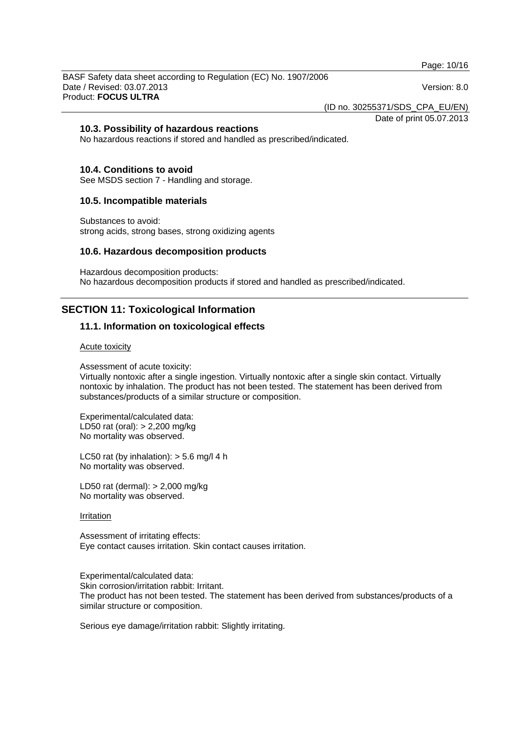Page: 10/16

BASF Safety data sheet according to Regulation (EC) No. 1907/2006 Date / Revised: 03.07.2013 Version: 8.0 Product: **FOCUS ULTRA** 

(ID no. 30255371/SDS\_CPA\_EU/EN)

Date of print 05.07.2013

## **10.3. Possibility of hazardous reactions**

No hazardous reactions if stored and handled as prescribed/indicated.

## **10.4. Conditions to avoid**

See MSDS section 7 - Handling and storage.

## **10.5. Incompatible materials**

Substances to avoid: strong acids, strong bases, strong oxidizing agents

#### **10.6. Hazardous decomposition products**

Hazardous decomposition products: No hazardous decomposition products if stored and handled as prescribed/indicated.

# **SECTION 11: Toxicological Information**

## **11.1. Information on toxicological effects**

#### Acute toxicity

Assessment of acute toxicity:

Virtually nontoxic after a single ingestion. Virtually nontoxic after a single skin contact. Virtually nontoxic by inhalation. The product has not been tested. The statement has been derived from substances/products of a similar structure or composition.

Experimental/calculated data: LD50 rat (oral): > 2,200 mg/kg No mortality was observed.

LC50 rat (by inhalation):  $>$  5.6 mg/l 4 h No mortality was observed.

LD50 rat (dermal): > 2,000 mg/kg No mortality was observed.

#### **Irritation**

Assessment of irritating effects: Eye contact causes irritation. Skin contact causes irritation.

Experimental/calculated data: Skin corrosion/irritation rabbit: Irritant. The product has not been tested. The statement has been derived from substances/products of a similar structure or composition.

Serious eye damage/irritation rabbit: Slightly irritating.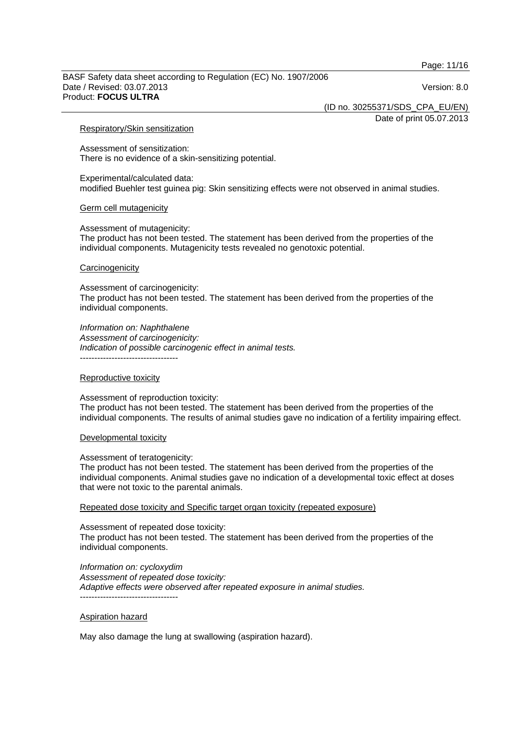Page: 11/16

#### BASF Safety data sheet according to Regulation (EC) No. 1907/2006 Date / Revised: 03.07.2013 Version: 8.0 Product: **FOCUS ULTRA**

(ID no. 30255371/SDS\_CPA\_EU/EN)

Date of print 05.07.2013

#### Respiratory/Skin sensitization

Assessment of sensitization: There is no evidence of a skin-sensitizing potential.

Experimental/calculated data: modified Buehler test guinea pig: Skin sensitizing effects were not observed in animal studies.

#### Germ cell mutagenicity

Assessment of mutagenicity: The product has not been tested. The statement has been derived from the properties of the individual components. Mutagenicity tests revealed no genotoxic potential.

#### **Carcinogenicity**

Assessment of carcinogenicity: The product has not been tested. The statement has been derived from the properties of the individual components.

#### *Information on: Naphthalene*

*Assessment of carcinogenicity: Indication of possible carcinogenic effect in animal tests.*  ----------------------------------

#### Reproductive toxicity

Assessment of reproduction toxicity: The product has not been tested. The statement has been derived from the properties of the individual components. The results of animal studies gave no indication of a fertility impairing effect.

#### Developmental toxicity

#### Assessment of teratogenicity:

The product has not been tested. The statement has been derived from the properties of the individual components. Animal studies gave no indication of a developmental toxic effect at doses that were not toxic to the parental animals.

#### Repeated dose toxicity and Specific target organ toxicity (repeated exposure)

#### Assessment of repeated dose toxicity:

The product has not been tested. The statement has been derived from the properties of the individual components.

*Information on: cycloxydim Assessment of repeated dose toxicity: Adaptive effects were observed after repeated exposure in animal studies.*  ----------------------------------

#### Aspiration hazard

May also damage the lung at swallowing (aspiration hazard).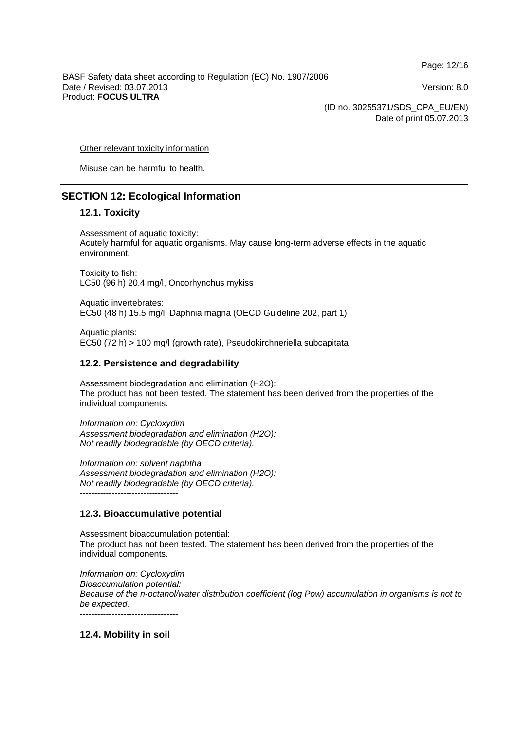Page: 12/16

BASF Safety data sheet according to Regulation (EC) No. 1907/2006 Date / Revised: 03.07.2013 Version: 8.0 Product: **FOCUS ULTRA** 

(ID no. 30255371/SDS\_CPA\_EU/EN) Date of print 05.07.2013

Other relevant toxicity information

Misuse can be harmful to health.

# **SECTION 12: Ecological Information**

## **12.1. Toxicity**

Assessment of aquatic toxicity: Acutely harmful for aquatic organisms. May cause long-term adverse effects in the aquatic environment.

Toxicity to fish: LC50 (96 h) 20.4 mg/l, Oncorhynchus mykiss

Aquatic invertebrates: EC50 (48 h) 15.5 mg/l, Daphnia magna (OECD Guideline 202, part 1)

Aquatic plants: EC50 (72 h) > 100 mg/l (growth rate), Pseudokirchneriella subcapitata

## **12.2. Persistence and degradability**

Assessment biodegradation and elimination (H2O): The product has not been tested. The statement has been derived from the properties of the individual components.

*Information on: Cycloxydim Assessment biodegradation and elimination (H2O): Not readily biodegradable (by OECD criteria).* 

*Information on: solvent naphtha Assessment biodegradation and elimination (H2O): Not readily biodegradable (by OECD criteria).*  ----------------------------------

# **12.3. Bioaccumulative potential**

Assessment bioaccumulation potential: The product has not been tested. The statement has been derived from the properties of the individual components.

*Information on: Cycloxydim Bioaccumulation potential: Because of the n-octanol/water distribution coefficient (log Pow) accumulation in organisms is not to be expected.*  ----------------------------------

**12.4. Mobility in soil**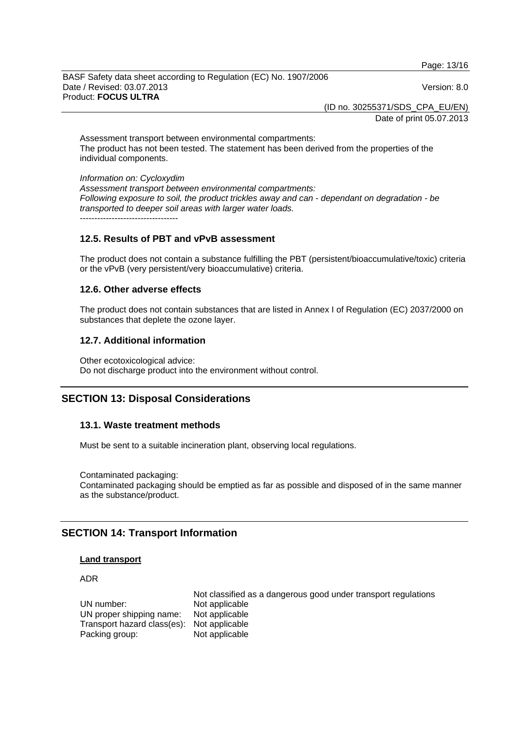Page: 13/16

BASF Safety data sheet according to Regulation (EC) No. 1907/2006 Date / Revised: 03.07.2013 Version: 8.0 Product: **FOCUS ULTRA** 

(ID no. 30255371/SDS\_CPA\_EU/EN)

Date of print 05.07.2013

Assessment transport between environmental compartments: The product has not been tested. The statement has been derived from the properties of the individual components.

*Information on: Cycloxydim Assessment transport between environmental compartments: Following exposure to soil, the product trickles away and can - dependant on degradation - be transported to deeper soil areas with larger water loads.*  $-$ 

## **12.5. Results of PBT and vPvB assessment**

The product does not contain a substance fulfilling the PBT (persistent/bioaccumulative/toxic) criteria or the vPvB (very persistent/very bioaccumulative) criteria.

## **12.6. Other adverse effects**

The product does not contain substances that are listed in Annex I of Regulation (EC) 2037/2000 on substances that deplete the ozone layer.

## **12.7. Additional information**

Other ecotoxicological advice: Do not discharge product into the environment without control.

# **SECTION 13: Disposal Considerations**

## **13.1. Waste treatment methods**

Must be sent to a suitable incineration plant, observing local regulations.

Contaminated packaging: Contaminated packaging should be emptied as far as possible and disposed of in the same manner as the substance/product.

# **SECTION 14: Transport Information**

#### **Land transport**

ADR

 Not classified as a dangerous good under transport regulations UN number:<br>UN proper shipping name: Not applicable UN proper shipping name: Transport hazard class(es): Not applicable<br>Packing group: Not applicable Packing group: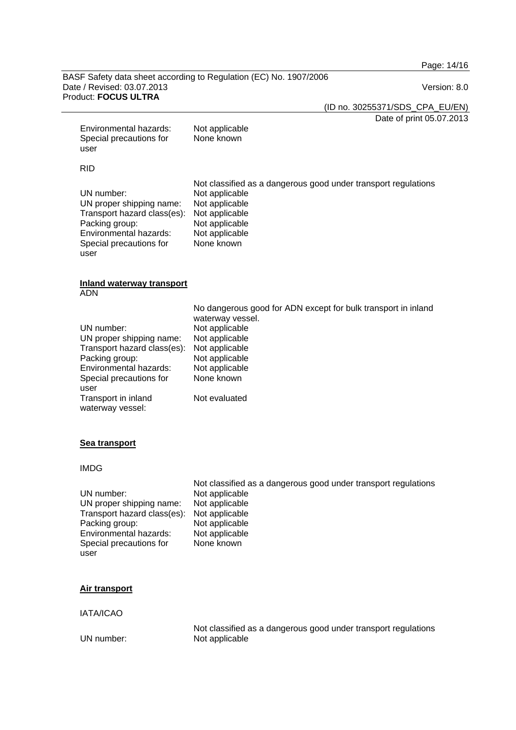Page: 14/16

#### BASF Safety data sheet according to Regulation (EC) No. 1907/2006 Date / Revised: 03.07.2013 Version: 8.0 Product: **FOCUS ULTRA**

(ID no. 30255371/SDS\_CPA\_EU/EN)

Date of print 05.07.2013

| Environmental hazards:<br>Special precautions for<br>user                                                                                                                                       | Not applicable<br>None known                                                                                                                                                                               |
|-------------------------------------------------------------------------------------------------------------------------------------------------------------------------------------------------|------------------------------------------------------------------------------------------------------------------------------------------------------------------------------------------------------------|
| <b>RID</b>                                                                                                                                                                                      |                                                                                                                                                                                                            |
| UN number:<br>UN proper shipping name:<br>Transport hazard class(es):<br>Packing group:<br>Environmental hazards:<br>Special precautions for<br>user                                            | Not classified as a dangerous good under transport regulations<br>Not applicable<br>Not applicable<br>Not applicable<br>Not applicable<br>Not applicable<br>None known                                     |
| <b>Inland waterway transport</b><br><b>ADN</b>                                                                                                                                                  |                                                                                                                                                                                                            |
| UN number:<br>UN proper shipping name:<br>Transport hazard class(es):<br>Packing group:<br>Environmental hazards:<br>Special precautions for<br>user<br>Transport in inland<br>waterway vessel: | No dangerous good for ADN except for bulk transport in inland<br>waterway vessel.<br>Not applicable<br>Not applicable<br>Not applicable<br>Not applicable<br>Not applicable<br>None known<br>Not evaluated |
| <b>Sea transport</b>                                                                                                                                                                            |                                                                                                                                                                                                            |
| <b>IMDG</b>                                                                                                                                                                                     |                                                                                                                                                                                                            |
| UN number:<br>UN proper shipping name:                                                                                                                                                          | Not classified as a dangerous good under transport regulations<br>Not applicable<br>Not applicable                                                                                                         |

Transport hazard class(es): Not applicable Packing group: Not applicable<br>
Environmental hazards: Not applicable Environmental hazards: Special precautions for user

None known

## **Air transport**

IATA/ICAO

Not classified as a dangerous good under transport regulations<br>UN number:<br>Not applicable Not applicable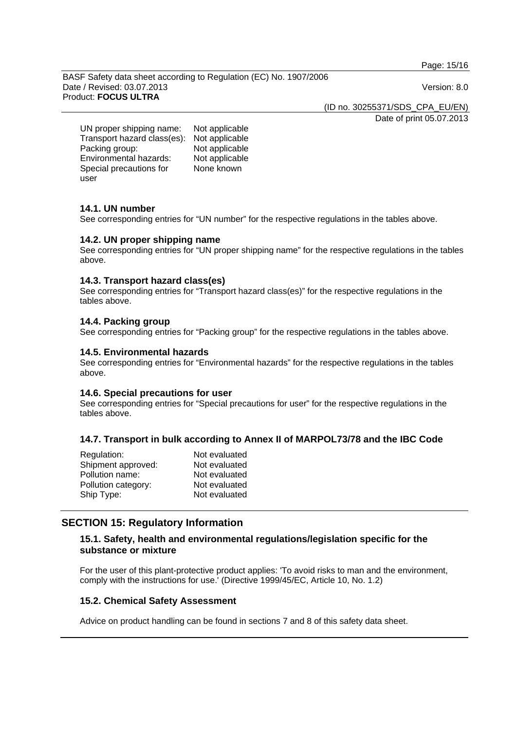Page: 15/16

BASF Safety data sheet according to Regulation (EC) No. 1907/2006 Date / Revised: 03.07.2013 Version: 8.0 Product: **FOCUS ULTRA** 

(ID no. 30255371/SDS\_CPA\_EU/EN)

Date of print 05.07.2013

UN proper shipping name: Not applicable Transport hazard class(es): Not applicable Packing group: Not applicable Environmental hazards: Not applicable Special precautions for user

None known

## **14.1. UN number**

See corresponding entries for "UN number" for the respective regulations in the tables above.

## **14.2. UN proper shipping name**

See corresponding entries for "UN proper shipping name" for the respective regulations in the tables above.

## **14.3. Transport hazard class(es)**

See corresponding entries for "Transport hazard class(es)" for the respective regulations in the tables above.

# **14.4. Packing group**

See corresponding entries for "Packing group" for the respective regulations in the tables above.

## **14.5. Environmental hazards**

See corresponding entries for "Environmental hazards" for the respective regulations in the tables above.

## **14.6. Special precautions for user**

See corresponding entries for "Special precautions for user" for the respective regulations in the tables above.

## **14.7. Transport in bulk according to Annex II of MARPOL73/78 and the IBC Code**

| Not evaluated |
|---------------|
| Not evaluated |
| Not evaluated |
| Not evaluated |
| Not evaluated |
|               |

# **SECTION 15: Regulatory Information**

## **15.1. Safety, health and environmental regulations/legislation specific for the substance or mixture**

For the user of this plant-protective product applies: 'To avoid risks to man and the environment, comply with the instructions for use.' (Directive 1999/45/EC, Article 10, No. 1.2)

## **15.2. Chemical Safety Assessment**

Advice on product handling can be found in sections 7 and 8 of this safety data sheet.